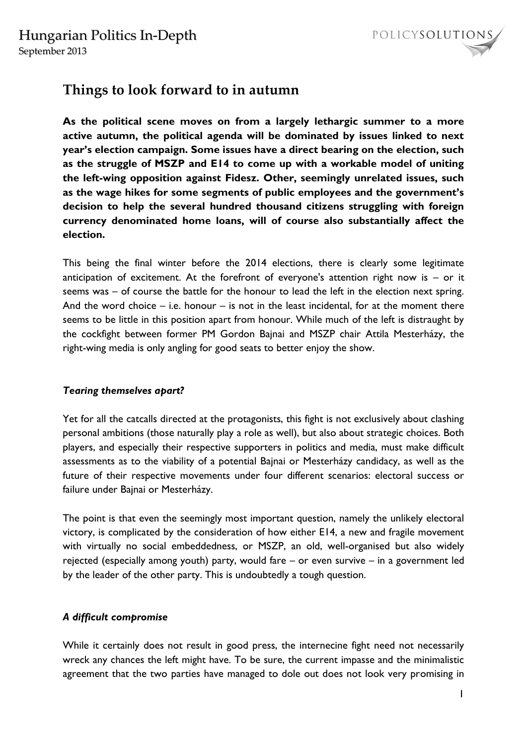

# **Things to look forward to in autumn**

**As the political scene moves on from a largely lethargic summer to a more active autumn, the political agenda will be dominated by issues linked to next year's election campaign. Some issues have a direct bearing on the election, such as the struggle of MSZP and E14 to come up with a workable model of uniting the left-wing opposition against Fidesz. Other, seemingly unrelated issues, such as the wage hikes for some segments of public employees and the government's decision to help the several hundred thousand citizens struggling with foreign currency denominated home loans, will of course also substantially affect the election.** 

This being the final winter before the 2014 elections, there is clearly some legitimate anticipation of excitement. At the forefront of everyone's attention right now is  $-$  or it seems was – of course the battle for the honour to lead the left in the election next spring. And the word choice  $-$  i.e. honour  $-$  is not in the least incidental, for at the moment there seems to be little in this position apart from honour. While much of the left is distraught by the cockfight between former PM Gordon Bajnai and MSZP chair Attila Mesterházy, the right-wing media is only angling for good seats to better enjoy the show.

## *Tearing themselves apart?*

Yet for all the catcalls directed at the protagonists, this fight is not exclusively about clashing personal ambitions (those naturally play a role as well), but also about strategic choices. Both players, and especially their respective supporters in politics and media, must make difficult assessments as to the viability of a potential Bajnai or Mesterházy candidacy, as well as the future of their respective movements under four different scenarios: electoral success or failure under Bajnai or Mesterházy.

The point is that even the seemingly most important question, namely the unlikely electoral victory, is complicated by the consideration of how either E14, a new and fragile movement with virtually no social embeddedness, or MSZP, an old, well-organised but also widely rejected (especially among youth) party, would fare – or even survive – in a government led by the leader of the other party. This is undoubtedly a tough question.

# *A difficult compromise*

While it certainly does not result in good press, the internecine fight need not necessarily wreck any chances the left might have. To be sure, the current impasse and the minimalistic agreement that the two parties have managed to dole out does not look very promising in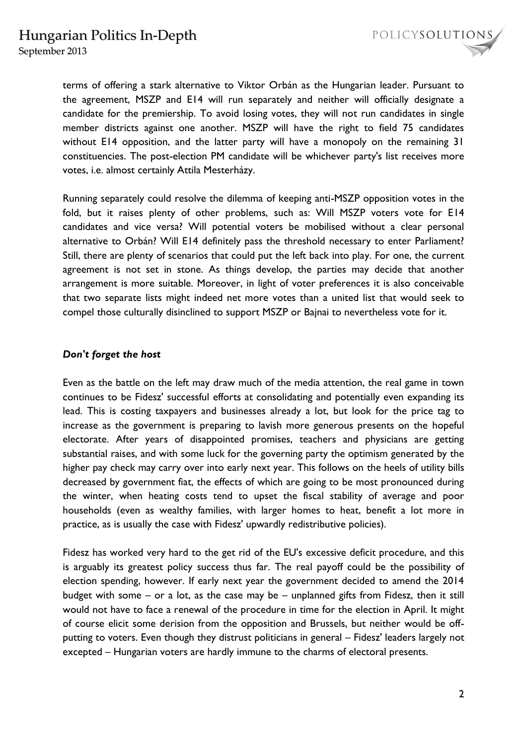September 2013

terms of offering a stark alternative to Viktor Orbán as the Hungarian leader. Pursuant to the agreement, MSZP and E14 will run separately and neither will officially designate a candidate for the premiership. To avoid losing votes, they will not run candidates in single member districts against one another. MSZP will have the right to field 75 candidates without E14 opposition, and the latter party will have a monopoly on the remaining 31 constituencies. The post-election PM candidate will be whichever party's list receives more votes, i.e. almost certainly Attila Mesterházy.

Running separately could resolve the dilemma of keeping anti-MSZP opposition votes in the fold, but it raises plenty of other problems, such as: Will MSZP voters vote for E14 candidates and vice versa? Will potential voters be mobilised without a clear personal alternative to Orbán? Will E14 definitely pass the threshold necessary to enter Parliament? Still, there are plenty of scenarios that could put the left back into play. For one, the current agreement is not set in stone. As things develop, the parties may decide that another arrangement is more suitable. Moreover, in light of voter preferences it is also conceivable that two separate lists might indeed net more votes than a united list that would seek to compel those culturally disinclined to support MSZP or Bajnai to nevertheless vote for it.

#### *Don't forget the host*

Even as the battle on the left may draw much of the media attention, the real game in town continues to be Fidesz' successful efforts at consolidating and potentially even expanding its lead. This is costing taxpayers and businesses already a lot, but look for the price tag to increase as the government is preparing to lavish more generous presents on the hopeful electorate. After years of disappointed promises, teachers and physicians are getting substantial raises, and with some luck for the governing party the optimism generated by the higher pay check may carry over into early next year. This follows on the heels of utility bills decreased by government fiat, the effects of which are going to be most pronounced during the winter, when heating costs tend to upset the fiscal stability of average and poor households (even as wealthy families, with larger homes to heat, benefit a lot more in practice, as is usually the case with Fidesz' upwardly redistributive policies).

Fidesz has worked very hard to the get rid of the EU's excessive deficit procedure, and this is arguably its greatest policy success thus far. The real payoff could be the possibility of election spending, however. If early next year the government decided to amend the 2014 budget with some – or a lot, as the case may be – unplanned gifts from Fidesz, then it still would not have to face a renewal of the procedure in time for the election in April. It might of course elicit some derision from the opposition and Brussels, but neither would be offputting to voters. Even though they distrust politicians in general – Fidesz' leaders largely not excepted – Hungarian voters are hardly immune to the charms of electoral presents.

POLICYSOLUTIONS